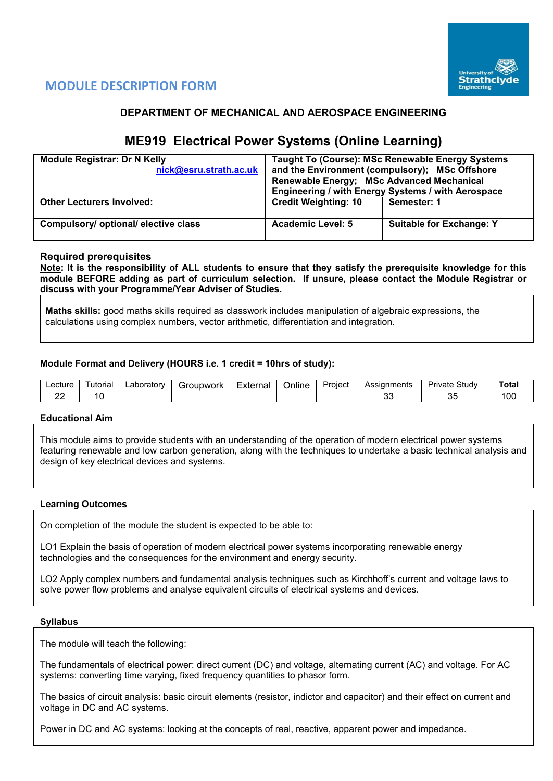

# **MODULE DESCRIPTION FORM**

## **DEPARTMENT OF MECHANICAL AND AEROSPACE ENGINEERING**

# **ME919 Electrical Power Systems (Online Learning)**

| <b>Module Registrar: Dr N Kelly</b><br>nick@esru.strath.ac.uk | Renewable Energy; MSc Advanced Mechanical | Taught To (Course): MSc Renewable Energy Systems<br>and the Environment (compulsory); MSc Offshore<br>Engineering / with Energy Systems / with Aerospace |
|---------------------------------------------------------------|-------------------------------------------|----------------------------------------------------------------------------------------------------------------------------------------------------------|
| <b>Other Lecturers Involved:</b>                              | <b>Credit Weighting: 10</b>               | Semester: 1                                                                                                                                              |
| Compulsory/ optional/ elective class                          | Academic Level: 5                         | <b>Suitable for Exchange: Y</b>                                                                                                                          |

## **Required prerequisites**

**Note: It is the responsibility of ALL students to ensure that they satisfy the prerequisite knowledge for this module BEFORE adding as part of curriculum selection. If unsure, please contact the Module Registrar or discuss with your Programme/Year Adviser of Studies.**

**Maths skills:** good maths skills required as classwork includes manipulation of algebraic expressions, the calculations using complex numbers, vector arithmetic, differentiation and integration.

### **Module Format and Delivery (HOURS i.e. 1 credit = 10hrs of study):**

| Lecture | utorial | ∟aborator∨ | iroupwork | -<br>External<br>ا الصاليا | <br>Online | Proiect | Assianments | Study<br>Private | Tota.       |
|---------|---------|------------|-----------|----------------------------|------------|---------|-------------|------------------|-------------|
| c.      |         |            |           |                            |            |         | n,<br>vu    | v                | ı nr<br>∣∪∪ |

#### **Educational Aim**

This module aims to provide students with an understanding of the operation of modern electrical power systems featuring renewable and low carbon generation, along with the techniques to undertake a basic technical analysis and design of key electrical devices and systems.

#### **Learning Outcomes**

On completion of the module the student is expected to be able to:

LO1 Explain the basis of operation of modern electrical power systems incorporating renewable energy technologies and the consequences for the environment and energy security.

LO2 Apply complex numbers and fundamental analysis techniques such as Kirchhoff's current and voltage laws to solve power flow problems and analyse equivalent circuits of electrical systems and devices.

#### **Syllabus**

The module will teach the following:

The fundamentals of electrical power: direct current (DC) and voltage, alternating current (AC) and voltage. For AC systems: converting time varying, fixed frequency quantities to phasor form.

The basics of circuit analysis: basic circuit elements (resistor, indictor and capacitor) and their effect on current and voltage in DC and AC systems.

Power in DC and AC systems: looking at the concepts of real, reactive, apparent power and impedance.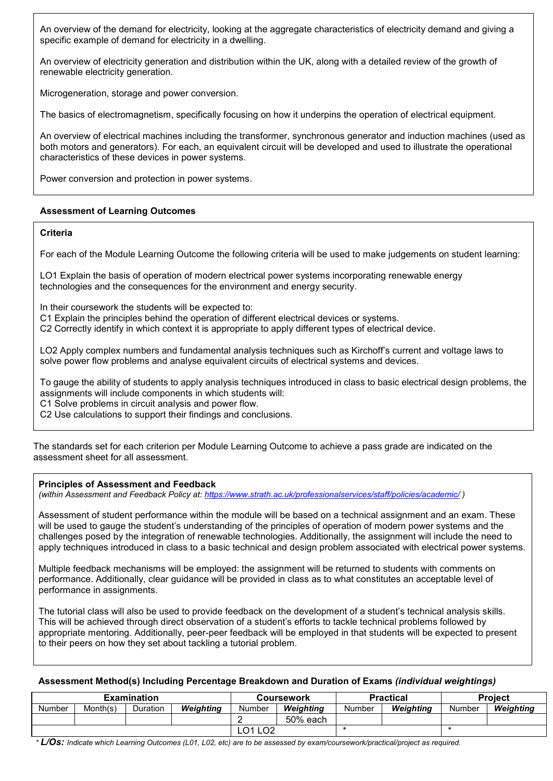An overview of the demand for electricity, looking at the aggregate characteristics of electricity demand and giving a specific example of demand for electricity in a dwelling.

An overview of electricity generation and distribution within the UK, along with a detailed review of the growth of renewable electricity generation.

Microgeneration, storage and power conversion.

The basics of electromagnetism, specifically focusing on how it underpins the operation of electrical equipment.

An overview of electrical machines including the transformer, synchronous generator and induction machines (used as both motors and generators). For each, an equivalent circuit will be developed and used to illustrate the operational characteristics of these devices in power systems.

Power conversion and protection in power systems.

## **Assessment of Learning Outcomes**

### **Criteria**

For each of the Module Learning Outcome the following criteria will be used to make judgements on student learning:

LO1 Explain the basis of operation of modern electrical power systems incorporating renewable energy technologies and the consequences for the environment and energy security.

In their coursework the students will be expected to:

C1 Explain the principles behind the operation of different electrical devices or systems.

C2 Correctly identify in which context it is appropriate to apply different types of electrical device.

LO2 Apply complex numbers and fundamental analysis techniques such as Kirchoff's current and voltage laws to solve power flow problems and analyse equivalent circuits of electrical systems and devices.

To gauge the ability of students to apply analysis techniques introduced in class to basic electrical design problems, the assignments will include components in which students will:

C1 Solve problems in circuit analysis and power flow.

C2 Use calculations to support their findings and conclusions.

The standards set for each criterion per Module Learning Outcome to achieve a pass grade are indicated on the assessment sheet for all assessment.

## **Principles of Assessment and Feedback**

*(within Assessment and Feedback Policy at: <https://www.strath.ac.uk/professionalservices/staff/policies/academic/> )*

Assessment of student performance within the module will be based on a technical assignment and an exam. These will be used to gauge the student's understanding of the principles of operation of modern power systems and the challenges posed by the integration of renewable technologies. Additionally, the assignment will include the need to apply techniques introduced in class to a basic technical and design problem associated with electrical power systems.

Multiple feedback mechanisms will be employed: the assignment will be returned to students with comments on performance. Additionally, clear guidance will be provided in class as to what constitutes an acceptable level of performance in assignments.

The tutorial class will also be used to provide feedback on the development of a student's technical analysis skills. This will be achieved through direct observation of a student's efforts to tackle technical problems followed by appropriate mentoring. Additionally, peer-peer feedback will be employed in that students will be expected to present to their peers on how they set about tackling a tutorial problem.

#### **Assessment Method(s) Including Percentage Breakdown and Duration of Exams** *(individual weightings)*

|               |          | Examination           |           |        | Coursework |        | <b>Practical</b> | <b>Project</b> |           |  |
|---------------|----------|-----------------------|-----------|--------|------------|--------|------------------|----------------|-----------|--|
| <b>Number</b> | Month(s) | Duration              | Weiahtina | Number | Weiahtina  | Number | Weiahtina        | Number         | Weiahtina |  |
|               |          |                       |           |        | 50% each   |        |                  |                |           |  |
|               |          | LO <sub>2</sub><br>∩1 |           |        |            |        |                  |                |           |  |

*\* L/Os: Indicate which Learning Outcomes (L01, L02, etc) are to be assessed by exam/coursework/practical/project as required.*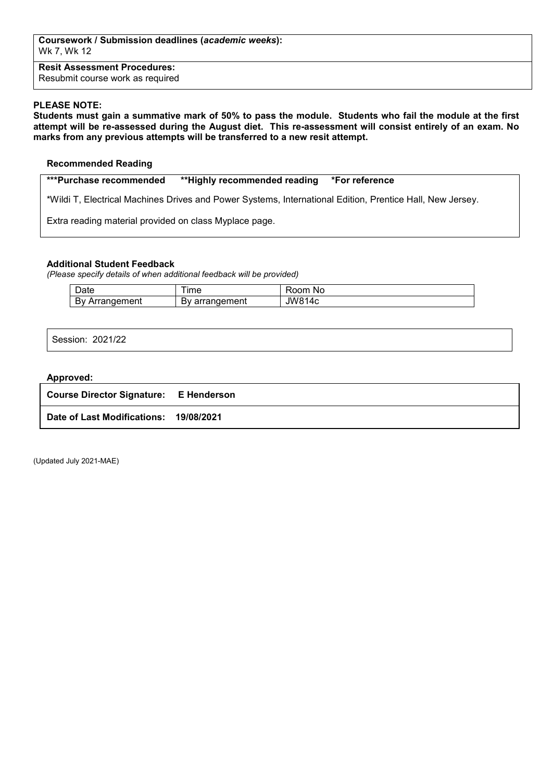**Resit Assessment Procedures:** Resubmit course work as required

### **PLEASE NOTE:**

**Students must gain a summative mark of 50% to pass the module. Students who fail the module at the first attempt will be re-assessed during the August diet. This re-assessment will consist entirely of an exam. No marks from any previous attempts will be transferred to a new resit attempt.**

#### **Recommended Reading**

**\*\*\*Purchase recommended \*\*Highly recommended reading \*For reference** 

\*Wildi T, Electrical Machines Drives and Power Systems, International Edition, Prentice Hall, New Jersey.

Extra reading material provided on class Myplace page.

### **Additional Student Feedback**

*(Please specify details of when additional feedback will be provided)*

| $\overline{\phantom{0}}$<br>Jate              | ıme                                           | om<br><b>NC</b><br>ĸ     |
|-----------------------------------------------|-----------------------------------------------|--------------------------|
| . .<br>าement<br>$\sim$<br>Dν<br>$\mathbf{a}$ | $\sim$ $\sim$ 1<br>$\sim$<br>≃ment<br>aı<br>ີ | JW8 <sup>4</sup><br>. Ar |

Session: 2021/22

#### **Approved:**

| <b>Course Director Signature: E Henderson</b> |  |
|-----------------------------------------------|--|
| Date of Last Modifications: 19/08/2021        |  |

(Updated July 2021-MAE)